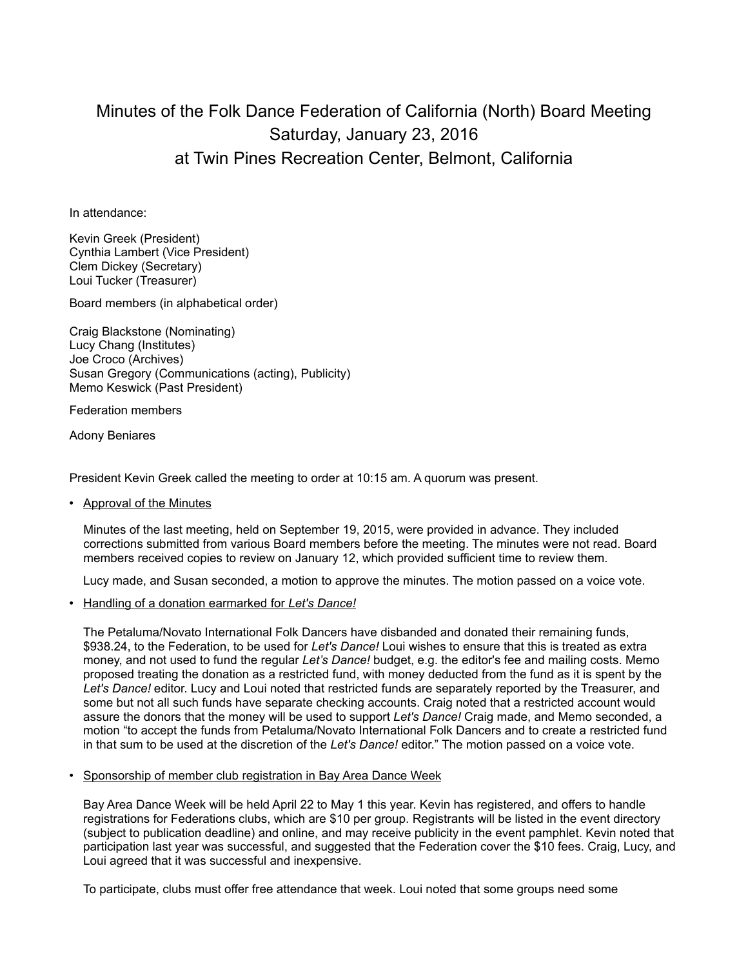## Minutes of the Folk Dance Federation of California (North) Board Meeting Saturday, January 23, 2016 at Twin Pines Recreation Center, Belmont, California

In attendance:

Kevin Greek (President) Cynthia Lambert (Vice President) Clem Dickey (Secretary) Loui Tucker (Treasurer)

Board members (in alphabetical order)

Craig Blackstone (Nominating) Lucy Chang (Institutes) Joe Croco (Archives) Susan Gregory (Communications (acting), Publicity) Memo Keswick (Past President)

Federation members

Adony Beniares

President Kevin Greek called the meeting to order at 10:15 am. A quorum was present.

• Approval of the Minutes

Minutes of the last meeting, held on September 19, 2015, were provided in advance. They included corrections submitted from various Board members before the meeting. The minutes were not read. Board members received copies to review on January 12, which provided sufficient time to review them.

Lucy made, and Susan seconded, a motion to approve the minutes. The motion passed on a voice vote.

• Handling of a donation earmarked for *Let's Dance!*

The Petaluma/Novato International Folk Dancers have disbanded and donated their remaining funds, \$938.24, to the Federation, to be used for *Let's Dance!* Loui wishes to ensure that this is treated as extra money, and not used to fund the regular *Let's Dance!* budget, e.g. the editor's fee and mailing costs. Memo proposed treating the donation as a restricted fund, with money deducted from the fund as it is spent by the *Let's Dance!* editor. Lucy and Loui noted that restricted funds are separately reported by the Treasurer, and some but not all such funds have separate checking accounts. Craig noted that a restricted account would assure the donors that the money will be used to support *Let's Dance!* Craig made, and Memo seconded, a motion "to accept the funds from Petaluma/Novato International Folk Dancers and to create a restricted fund in that sum to be used at the discretion of the *Let's Dance!* editor." The motion passed on a voice vote.

• Sponsorship of member club registration in Bay Area Dance Week

Bay Area Dance Week will be held April 22 to May 1 this year. Kevin has registered, and offers to handle registrations for Federations clubs, which are \$10 per group. Registrants will be listed in the event directory (subject to publication deadline) and online, and may receive publicity in the event pamphlet. Kevin noted that participation last year was successful, and suggested that the Federation cover the \$10 fees. Craig, Lucy, and Loui agreed that it was successful and inexpensive.

To participate, clubs must offer free attendance that week. Loui noted that some groups need some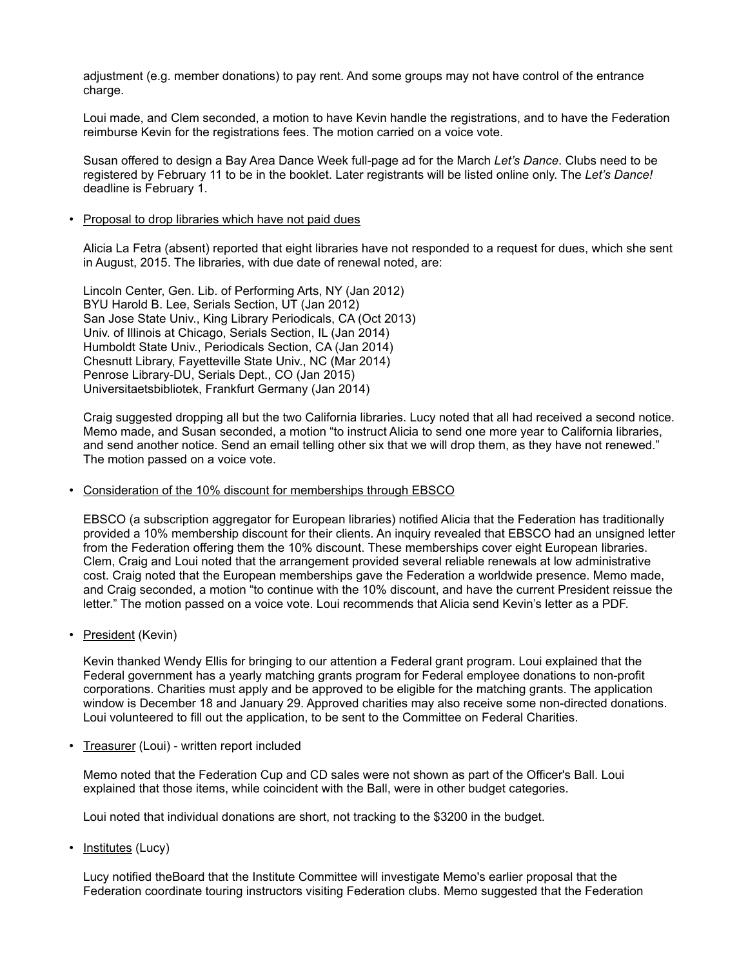adjustment (e.g. member donations) to pay rent. And some groups may not have control of the entrance charge.

Loui made, and Clem seconded, a motion to have Kevin handle the registrations, and to have the Federation reimburse Kevin for the registrations fees. The motion carried on a voice vote.

Susan offered to design a Bay Area Dance Week full-page ad for the March *Let's Dance*. Clubs need to be registered by February 11 to be in the booklet. Later registrants will be listed online only. The *Let's Dance!* deadline is February 1.

• Proposal to drop libraries which have not paid dues

Alicia La Fetra (absent) reported that eight libraries have not responded to a request for dues, which she sent in August, 2015. The libraries, with due date of renewal noted, are:

Lincoln Center, Gen. Lib. of Performing Arts, NY (Jan 2012) BYU Harold B. Lee, Serials Section, UT (Jan 2012) San Jose State Univ., King Library Periodicals, CA (Oct 2013) Univ. of Illinois at Chicago, Serials Section, IL (Jan 2014) Humboldt State Univ., Periodicals Section, CA (Jan 2014) Chesnutt Library, Fayetteville State Univ., NC (Mar 2014) Penrose Library-DU, Serials Dept., CO (Jan 2015) Universitaetsbibliotek, Frankfurt Germany (Jan 2014)

Craig suggested dropping all but the two California libraries. Lucy noted that all had received a second notice. Memo made, and Susan seconded, a motion "to instruct Alicia to send one more year to California libraries, and send another notice. Send an email telling other six that we will drop them, as they have not renewed." The motion passed on a voice vote.

## • Consideration of the 10% discount for memberships through EBSCO

EBSCO (a subscription aggregator for European libraries) notified Alicia that the Federation has traditionally provided a 10% membership discount for their clients. An inquiry revealed that EBSCO had an unsigned letter from the Federation offering them the 10% discount. These memberships cover eight European libraries. Clem, Craig and Loui noted that the arrangement provided several reliable renewals at low administrative cost. Craig noted that the European memberships gave the Federation a worldwide presence. Memo made, and Craig seconded, a motion "to continue with the 10% discount, and have the current President reissue the letter." The motion passed on a voice vote. Loui recommends that Alicia send Kevin's letter as a PDF.

• President (Kevin)

Kevin thanked Wendy Ellis for bringing to our attention a Federal grant program. Loui explained that the Federal government has a yearly matching grants program for Federal employee donations to non-profit corporations. Charities must apply and be approved to be eligible for the matching grants. The application window is December 18 and January 29. Approved charities may also receive some non-directed donations. Loui volunteered to fill out the application, to be sent to the Committee on Federal Charities.

• Treasurer (Loui) - written report included

Memo noted that the Federation Cup and CD sales were not shown as part of the Officer's Ball. Loui explained that those items, while coincident with the Ball, were in other budget categories.

Loui noted that individual donations are short, not tracking to the \$3200 in the budget.

• Institutes (Lucy)

Lucy notified theBoard that the Institute Committee will investigate Memo's earlier proposal that the Federation coordinate touring instructors visiting Federation clubs. Memo suggested that the Federation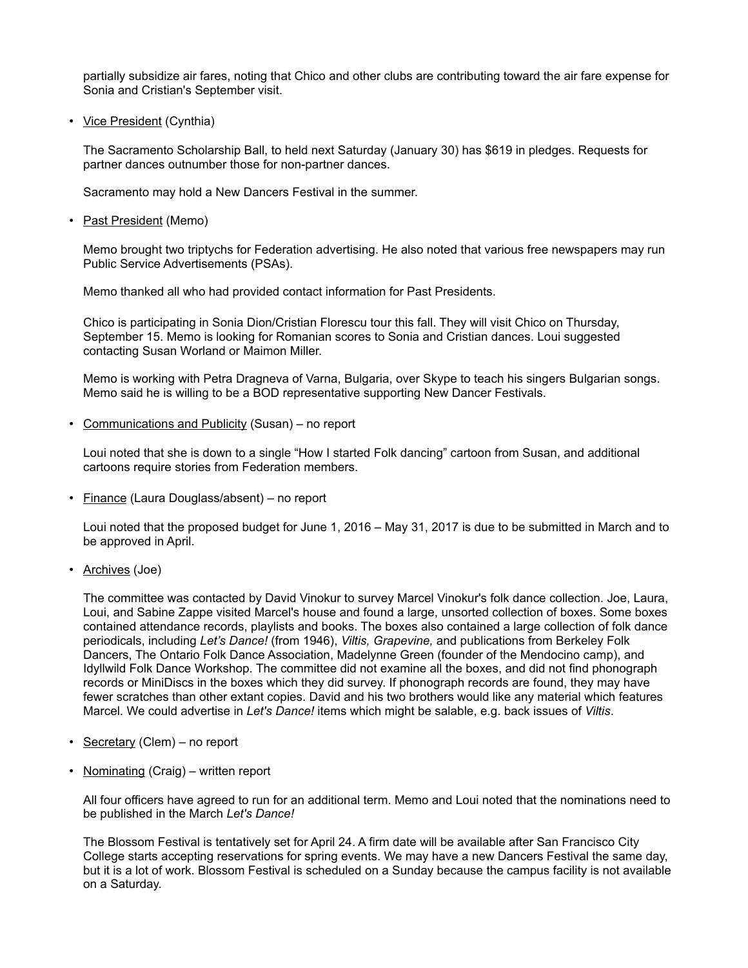partially subsidize air fares, noting that Chico and other clubs are contributing toward the air fare expense for Sonia and Cristian's September visit.

• Vice President (Cynthia)

The Sacramento Scholarship Ball, to held next Saturday (January 30) has \$619 in pledges. Requests for partner dances outnumber those for non-partner dances.

Sacramento may hold a New Dancers Festival in the summer.

• Past President (Memo)

Memo brought two triptychs for Federation advertising. He also noted that various free newspapers may run Public Service Advertisements (PSAs).

Memo thanked all who had provided contact information for Past Presidents.

Chico is participating in Sonia Dion/Cristian Florescu tour this fall. They will visit Chico on Thursday, September 15. Memo is looking for Romanian scores to Sonia and Cristian dances. Loui suggested contacting Susan Worland or Maimon Miller.

Memo is working with Petra Dragneva of Varna, Bulgaria, over Skype to teach his singers Bulgarian songs. Memo said he is willing to be a BOD representative supporting New Dancer Festivals.

• Communications and Publicity (Susan) - no report

Loui noted that she is down to a single "How I started Folk dancing" cartoon from Susan, and additional cartoons require stories from Federation members.

• Finance (Laura Douglass/absent) – no report

Loui noted that the proposed budget for June 1, 2016 – May 31, 2017 is due to be submitted in March and to be approved in April.

• Archives (Joe)

The committee was contacted by David Vinokur to survey Marcel Vinokur's folk dance collection. Joe, Laura, Loui, and Sabine Zappe visited Marcel's house and found a large, unsorted collection of boxes. Some boxes contained attendance records, playlists and books. The boxes also contained a large collection of folk dance periodicals, including *Let's Dance!* (from 1946), *Viltis, Grapevine,* and publications from Berkeley Folk Dancers, The Ontario Folk Dance Association, Madelynne Green (founder of the Mendocino camp), and Idyllwild Folk Dance Workshop. The committee did not examine all the boxes, and did not find phonograph records or MiniDiscs in the boxes which they did survey. If phonograph records are found, they may have fewer scratches than other extant copies. David and his two brothers would like any material which features Marcel. We could advertise in *Let's Dance!* items which might be salable, e.g. back issues of *Viltis*.

- Secretary (Clem) no report
- Nominating (Craig) written report

All four officers have agreed to run for an additional term. Memo and Loui noted that the nominations need to be published in the March *Let's Dance!*

The Blossom Festival is tentatively set for April 24. A firm date will be available after San Francisco City College starts accepting reservations for spring events. We may have a new Dancers Festival the same day, but it is a lot of work. Blossom Festival is scheduled on a Sunday because the campus facility is not available on a Saturday.